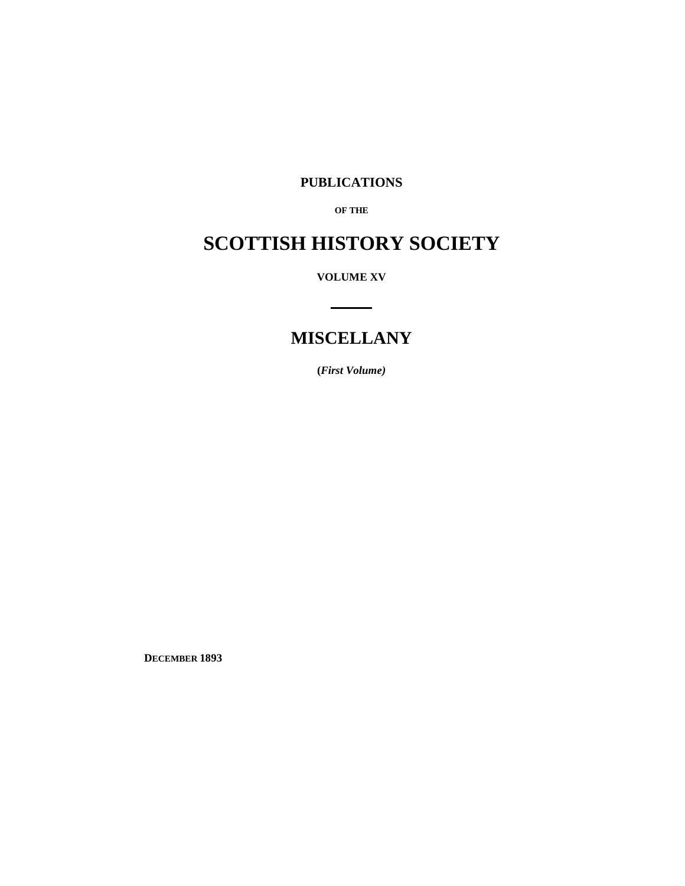**PUBLICATIONS**

**OF THE**

# **SCOTTISH HISTORY SOCIETY**

**VOLUME XV**

 $\frac{1}{2} \left( \frac{1}{2} \right) \left( \frac{1}{2} \right) \left( \frac{1}{2} \right) \left( \frac{1}{2} \right) \left( \frac{1}{2} \right) \left( \frac{1}{2} \right) \left( \frac{1}{2} \right) \left( \frac{1}{2} \right) \left( \frac{1}{2} \right) \left( \frac{1}{2} \right) \left( \frac{1}{2} \right) \left( \frac{1}{2} \right) \left( \frac{1}{2} \right) \left( \frac{1}{2} \right) \left( \frac{1}{2} \right) \left( \frac{1}{2} \right) \left( \frac$ 

## **MISCELLANY**

**(***First Volume)*

**DECEMBER 1893**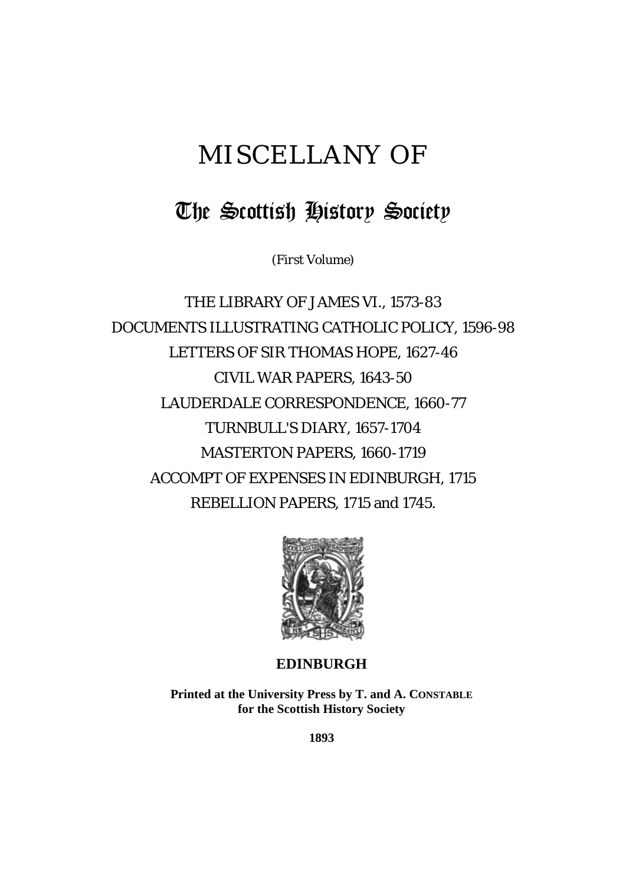# MISCELLANY OF

# The Scottish History Society

(*First Volume*)

THE LIBRARY OF JAMES VI., 1573-83 DOCUMENTS ILLUSTRATING CATHOLIC POLICY, 1596-98 LETTERS OF SIR THOMAS HOPE, 1627-46 CIVIL WAR PAPERS, 1643-50 LAUDERDALE CORRESPONDENCE, 1660-77 TURNBULL'S DIARY, 1657-1704 MASTERTON PAPERS, 1660-1719 ACCOMPT OF EXPENSES IN EDINBURGH, 1715 REBELLION PAPERS, 1715 and 1745.



#### **EDINBURGH**

**Printed at the University Press by T. and A. CONSTABLE for the Scottish History Society**

**1893**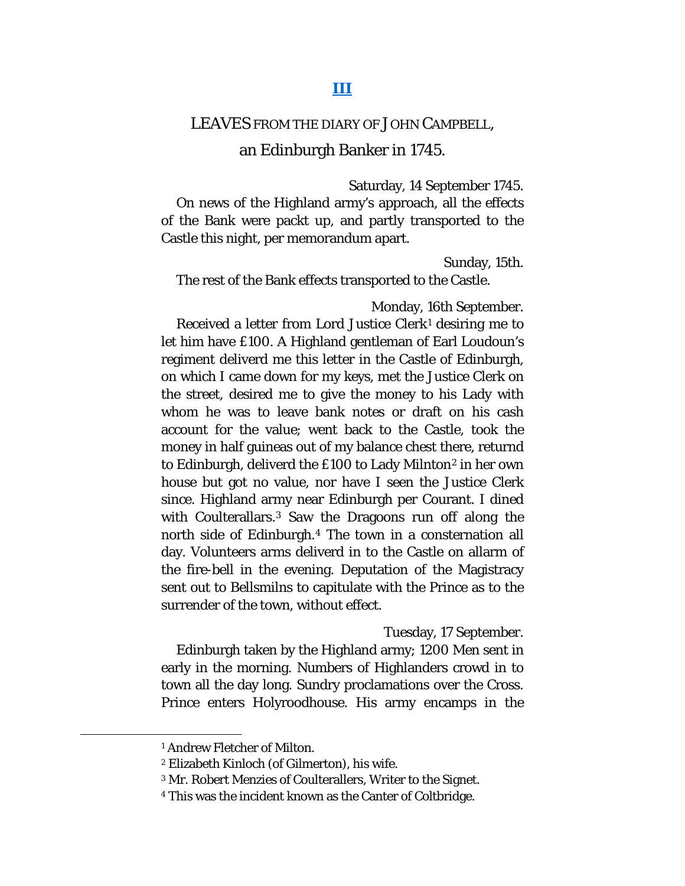### LEAVES FROM THE DIARY OF JOHN CAMPBELL,

#### an Edinburgh Banker in 1745.

Saturday, 14 September 1745.

On news of the Highland army's approach, all the effects of the Bank were packt up, and partly transported to the Castle this night, per memorandum apart.

Sunday, 15th.

The rest of the Bank effects transported to the Castle.

Monday, 16th September.

Received a letter from Lord Justice Clerk[1](#page-2-0) desiring me to let him have £100. A Highland gentleman of Earl Loudoun's regiment deliverd me this letter in the Castle of Edinburgh, on which I came down for my keys, met the Justice Clerk on the street, desired me to give the money to his Lady with whom he was to leave bank notes or draft on his cash account for the value; went back to the Castle, took the money in half guineas out of my balance chest there, returnd to Edinburgh, deliverd the £100 to Lady Milnton[2](#page-2-1) in her own house but got no value, nor have I seen the Justice Clerk since. Highland army near Edinburgh per Courant. I dined with Coulterallars[.3](#page-2-2) Saw the Dragoons run off along the north side of Edinburgh.[4](#page-2-3) The town in a consternation all day. Volunteers arms deliverd in to the Castle on allarm of the fire-bell in the evening. Deputation of the Magistracy sent out to Bellsmilns to capitulate with the Prince as to the surrender of the town, without effect.

Tuesday, 17 September.

Edinburgh taken by the Highland army; 1200 Men sent in early in the morning. Numbers of Highlanders crowd in to town all the day long. Sundry proclamations over the Cross. Prince enters Holyroodhouse. His army encamps in the

<span id="page-2-3"></span><span id="page-2-2"></span><span id="page-2-1"></span><span id="page-2-0"></span>ī

#### **[III](http://books.google.com/books?id=TIwwAQAAMAAJ&pg=PA537#v=onepage&q&f=false)**

<sup>1</sup> Andrew Fletcher of Milton.

<sup>2</sup> Elizabeth Kinloch (of Gilmerton), his wife.

<sup>3</sup> Mr. Robert Menzies of Coulterallers, Writer to the Signet.

<sup>4</sup> This was the incident known as the Canter of Coltbridge.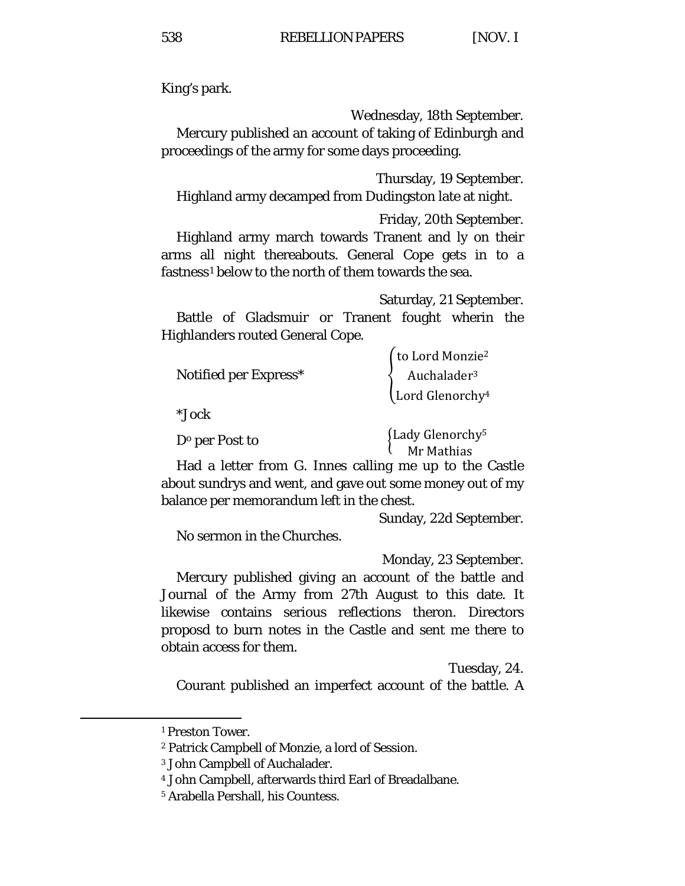King's park.

Wednesday, 18th September. Mercury published an account of taking of Edinburgh and proceedings of the army for some days proceeding.

Thursday, 19 September. Highland army decamped from Dudingston late at night.

Friday, 20th September.

Highland army march towards Tranent and ly on their arms all night thereabouts. General Cope gets in to a fastness<sup>[1](#page-3-0)</sup> below to the north of them towards the sea.

Saturday, 21 September.

Battle of Gladsmuir or Tranent fought wherin the Highlanders routed General Cope.

|                       | ( to Lord Monzie <sup>2</sup>     |
|-----------------------|-----------------------------------|
| Notified per Express* | $\left\{$ Auchalader <sup>3</sup> |
|                       | Lord Glenorchy <sup>4</sup>       |
| $*$ Iock              |                                   |

\*Jock

| D <sup>o</sup> per Post to |  |  |  |  |  | Lady Glenorchy <sup>5</sup> |            |  |
|----------------------------|--|--|--|--|--|-----------------------------|------------|--|
|                            |  |  |  |  |  |                             | Mr Mathias |  |
|                            |  |  |  |  |  |                             |            |  |

Had a letter from G. Innes calling me up to the Castle about sundrys and went, and gave out some money out of my balance per memorandum left in the chest.

Sunday, 22d September.

No sermon in the Churches.

Monday, 23 September.

Mercury published giving an account of the battle and Journal of the Army from 27th August to this date. It likewise contains serious reflections theron. Directors proposd to burn notes in the Castle and sent me there to obtain access for them.

Tuesday, 24.

Courant published an imperfect account of the battle. A

<span id="page-3-0"></span>Ĩ.

<sup>1</sup> Preston Tower.

<sup>2</sup> Patrick Campbell of Monzie, a lord of Session.

<sup>3</sup> John Campbell of Auchalader.

<sup>4</sup> John Campbell, afterwards third Earl of Breadalbane.

<sup>5</sup> Arabella Pershall, his Countess.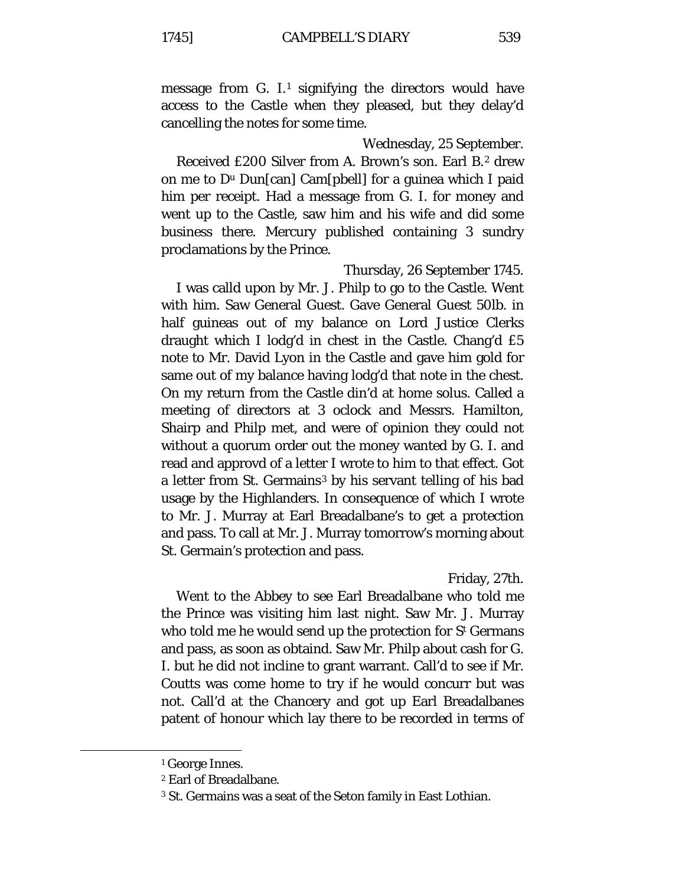message from G. I.[1](#page-4-0) signifying the directors would have access to the Castle when they pleased, but they delay'd cancelling the notes for some time.

Wednesday, *25* September. Received £200 Silver from A. Brown's son. Earl B.[2](#page-4-1) drew on me to Du Dun[can] Cam[pbell] for a guinea which I paid him per receipt. Had a message from G. I. for money and went up to the Castle, saw him and his wife and did some business there. Mercury published containing 3 sundry proclamations by the Prince.

Thursday, 26 September 1745.

I was calld upon by Mr. J. Philp to go to the Castle. Went with him. Saw General Guest. Gave General Guest 50lb. in half guineas out of my balance on Lord Justice Clerks draught which I lodg'd in chest in the Castle. Chang'd *£5* note to Mr. David Lyon in the Castle and gave him gold for same out of my balance having lodg'd that note in the chest. On my return from the Castle din'd at home *solus*. Called a meeting of directors at 3 oclock and Messrs. Hamilton, Shairp and Philp met, and were of opinion they could not without a quorum order out the money wanted by G. I. and read and approvd of a letter I wrote to him to that effect. Got a letter from St. Germains<sup>[3](#page-4-2)</sup> by his servant telling of his bad usage by the Highlanders. In consequence of which I wrote to Mr. J. Murray at Earl Breadalbane's to get a protection and pass. To call at Mr. J. Murray tomorrow's morning about St. Germain's protection and pass.

#### Friday, 27th.

Went to the Abbey to see Earl Breadalbane who told me the Prince was visiting him last night. Saw Mr. J. Murray who told me he would send up the protection for S<sup>t</sup> Germans and pass, as soon as obtaind. Saw Mr. Philp about cash for G. I. but he did not incline to grant warrant. Call'd to see if Mr. Coutts was come home to try if he would concurr but was not. Call'd at the Chancery and got up Earl Breadalbanes patent of honour which lay there to be recorded in terms of

<span id="page-4-2"></span><span id="page-4-1"></span><span id="page-4-0"></span>ī

<sup>1</sup> George Innes.

<sup>2</sup> Earl of Breadalbane.

<sup>3</sup> St. Germains was a seat of the Seton family in East Lothian.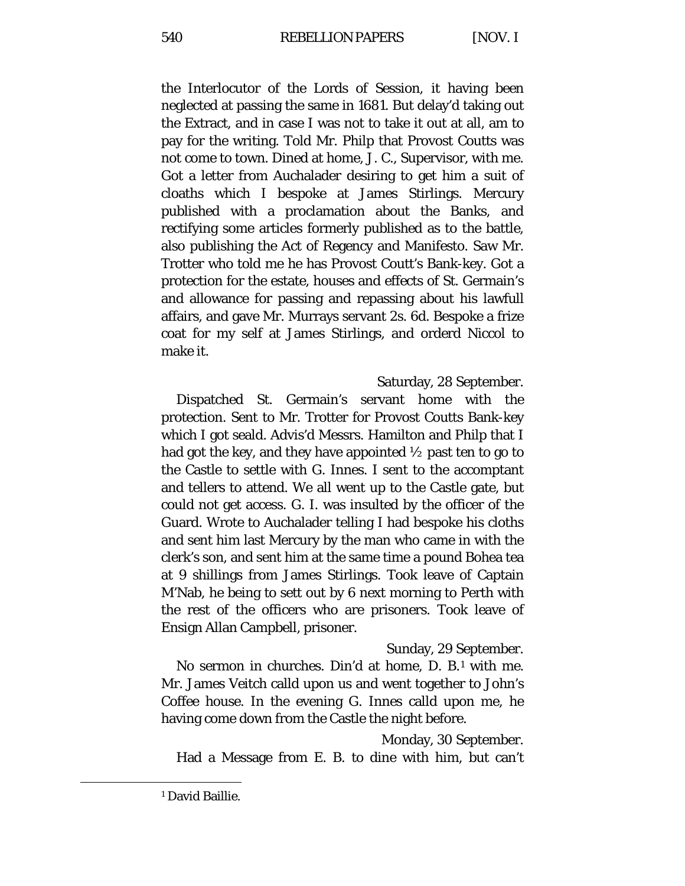the Interlocutor of the Lords of Session, it having been neglected at passing the same in 1681. But delay'd taking out the Extract, and in case I was not to take it out at all, am to pay for the writing. Told Mr. Philp that Provost Coutts was not come to town. Dined at home, J. C., Supervisor, with me. Got a letter from Auchalader desiring to get him a suit of cloaths which I bespoke at James Stirlings. Mercury published with a proclamation about the Banks, and rectifying some articles formerly published as to the battle, also publishing the Act of Regency and Manifesto. Saw Mr. Trotter who told me he has Provost Coutt's Bank-key. Got a protection for the estate, houses and effects of St. Germain's and allowance for passing and repassing about his lawfull affairs, and gave Mr. Murrays servant 2s. 6d. Bespoke a frize coat for my self at James Stirlings, and orderd Niccol to make it.

Saturday, 28 September.

Dispatched St. Germain's servant home with the protection. Sent to Mr. Trotter for Provost Coutts Bank-key which I got seald. Advis'd Messrs. Hamilton and Philp that I had got the key, and they have appointed  $\frac{1}{2}$  past ten to go to the Castle to settle with G. Innes. I sent to the accomptant and tellers to attend. We all went up to the Castle gate, but could not get access. G. I. was insulted by the officer of the Guard. Wrote to Auchalader telling I had bespoke his cloths and sent him last Mercury by the man who came in with the clerk's son, and sent him at the same time a pound Bohea tea at 9 shillings from James Stirlings. Took leave of Captain M'Nab, he being to sett out by 6 next morning to Perth with the rest of the officers who are prisoners. Took leave of Ensign Allan Campbell, prisoner.

Sunday, 29 September. No sermon in churches. Din'd at home, D. B.[1](#page-5-0) with me.

Mr. James Veitch calld upon us and went together to John's Coffee house. In the evening G. Innes calld upon me, he having come down from the Castle the night before.

Monday, 30 September. Had a Message from E. B. to dine with him, but can't

<span id="page-5-0"></span>Ĩ.

<sup>&</sup>lt;sup>1</sup> David Baillie.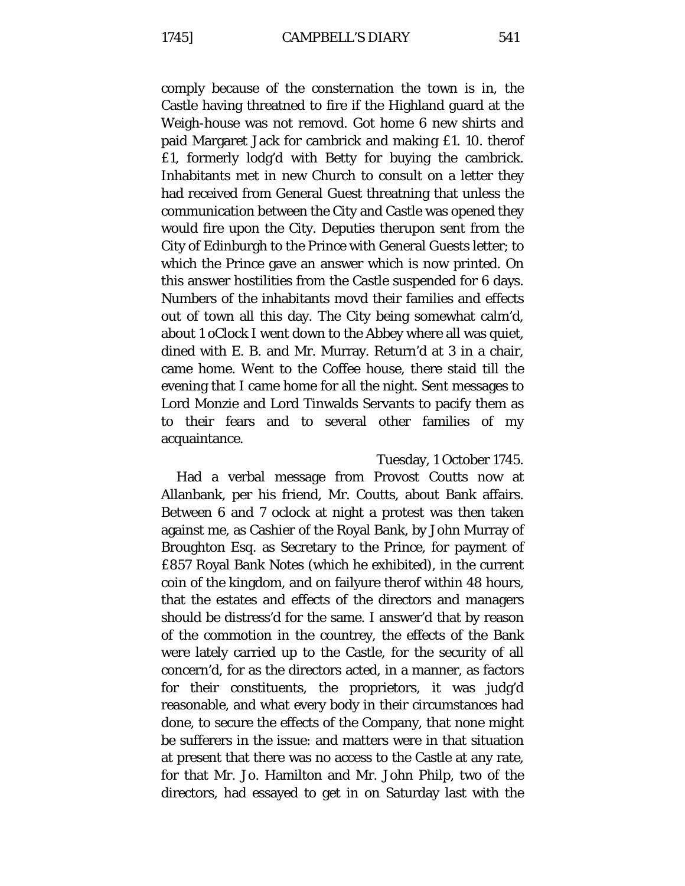comply because of the consternation the town is in, the Castle having threatned to fire if the Highland guard at the Weigh-house was not removd. Got home 6 new shirts and paid Margaret Jack for cambrick and making £1. 10. therof £1*,* formerly lodg'd with Betty for buying the cambrick. Inhabitants met in new Church to consult on a letter they had received from General Guest threatning that unless the communication between the City and Castle was opened they would fire upon the City. Deputies therupon sent from the City of Edinburgh to the Prince with General Guests letter; to which the Prince gave an answer which is now printed. On this answer hostilities from the Castle suspended for 6 days. Numbers of the inhabitants movd their families and effects out of town all this day. The City being somewhat calm'd, about 1 oClock I went down to the Abbey where all was quiet, dined with E. B. and Mr. Murray. Return'd at 3 in a chair, came home. Went to the Coffee house, there staid till the evening that I came home for all the night. Sent messages to Lord Monzie and Lord Tinwalds Servants to pacify them as to their fears and to several other families of my acquaintance.

#### Tuesday, 1 October 1745.

Had a verbal message from Provost Coutts now at Allanbank, per his friend, Mr. Coutts, about Bank affairs. Between 6 and 7 oclock at night a protest was then taken against me, as Cashier of the Royal Bank, by John Murray of Broughton Esq. as Secretary to the Prince, for payment of £857 Royal Bank Notes (which he exhibited), in the current coin of the kingdom, and on failyure therof within 48 hours, that the estates and effects of the directors and managers should be distress'd for the same. I answer'd that by reason of the commotion in the countrey, the effects of the Bank were lately carried up to the Castle, for the security of all concern'd, for as the directors acted, in a manner, as factors for their constituents, the proprietors, it was judg'd reasonable, and what every body in their circumstances had done, to secure the effects of the Company, that none might be sufferers in the issue: and matters were in that situation at present that there was no access to the Castle at any rate, for that Mr. Jo. Hamilton and Mr. John Philp, two of the directors, had essayed to get in on Saturday last with the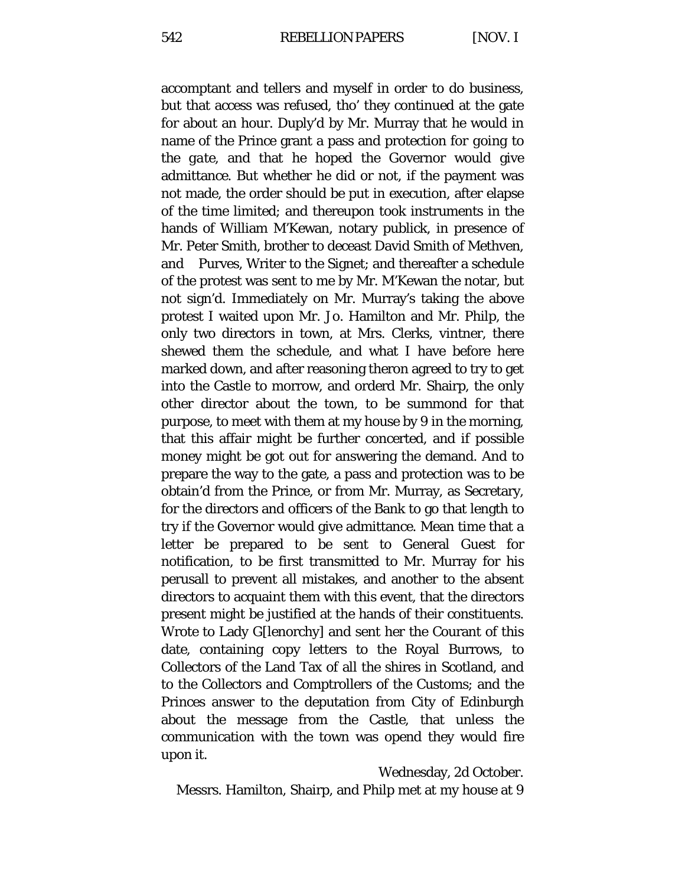accomptant and tellers and myself in order to do business, but that access was refused, tho' they continued at the gate for about an hour. Duply'd by Mr. Murray that he would in name of the Prince grant a pass and protection *for going to the gate*, and that he hoped the Governor would give admittance. But whether he did or not, if the payment was not made, the order should be put in execution, after elapse of the time limited; and thereupon took instruments in the hands of William M'Kewan, notary publick, in presence of Mr. Peter Smith, brother to deceast David Smith of Methven, and Purves, Writer to the Signet; and thereafter a schedule of the protest was sent to me by Mr. M'Kewan the notar, but not sign'd. Immediately on Mr. Murray's taking the above protest I waited upon Mr. Jo. Hamilton and Mr. Philp, the only two directors in town, at Mrs. Clerks, vintner, there shewed them the schedule, and what I have before here marked down, and after reasoning theron agreed to try to get into the Castle to morrow, and orderd Mr. Shairp, the only other director about the town, to be summond for that purpose, to meet with them at my house by 9 in the morning, that this affair might be further concerted, and if possible money might be got out for answering the demand. And to prepare the way to the gate, a pass and protection was to be obtain'd from the Prince, or from Mr. Murray, as Secretary, for the directors and officers of the Bank to go that length to try if the Governor would give admittance. Mean time that a letter be prepared to be sent to General Guest for notification, to be first transmitted to Mr. Murray for his perusall to prevent all mistakes, and another to the absent directors to acquaint them with this event, that the directors present might be justified at the hands of their constituents. Wrote to Lady G[lenorchy] and sent her the Courant of this date, containing copy letters to the Royal Burrows, to Collectors of the Land Tax of all the shires in Scotland, and to the Collectors and Comptrollers of the Customs; and the Princes answer to the deputation from City of Edinburgh about the message from the Castle, that unless the communication with the town was opend they would fire upon it.

Wednesday, 2d October.

Messrs. Hamilton, Shairp, and Philp met at my house at 9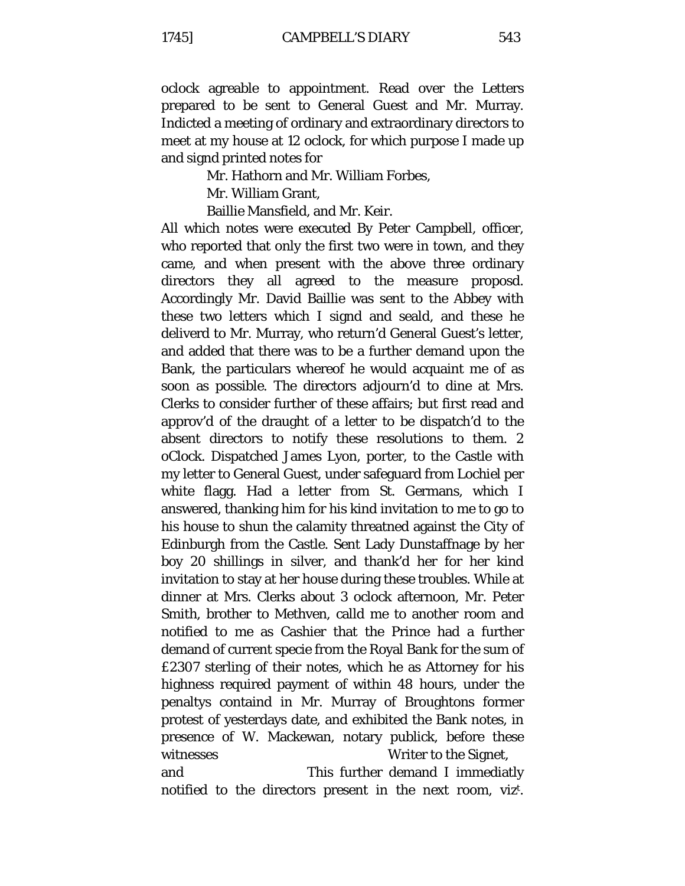oclock agreable to appointment. Read over the Letters prepared to be sent to General Guest and Mr. Murray. Indicted a meeting of ordinary and extraordinary directors to meet at my house at 12 oclock, for which purpose I made up and signd printed notes for

Mr. Hathorn and Mr. William Forbes,

Mr. William Grant,

Baillie Mansfield, and Mr. Keir.

All which notes were executed By Peter Campbell, officer, who reported that only the first two were in town, and they came, and when present with the above three ordinary directors they all agreed to the measure proposd. Accordingly Mr. David Baillie was sent to the Abbey with these two letters which I signd and seald, and these he deliverd to Mr. Murray, who return'd General Guest's letter, and added that there was to be a further demand upon the Bank, the particulars whereof he would acquaint me of as soon as possible. The directors adjourn'd to dine at Mrs. Clerks to consider further of these affairs; but first read and approv'd of the draught of a letter to be dispatch'd to the absent directors to notify these resolutions to them. 2 oClock. Dispatched James Lyon, porter, to the Castle with my letter to General Guest, under safeguard from Lochiel per white flagg. Had a letter from St. Germans, which I answered, thanking him for his kind invitation to me to go to his house to shun the calamity threatned against the City of Edinburgh from the Castle. Sent Lady Dunstaffnage by her boy 20 shillings in silver, and thank'd her for her kind invitation to stay at her house during these troubles. While at dinner at Mrs. Clerks about 3 oclock afternoon, Mr. Peter Smith, brother to Methven, calld me to another room and notified to me as Cashier that the Prince had a further demand of current specie from the Royal Bank for the sum of £2307 sterling of their notes, which he as Attorney for his highness required payment of within 48 hours, under the penaltys containd in Mr. Murray of Broughtons former protest of yesterdays date, and exhibited the Bank notes, in presence of W. Mackewan, notary publick, before these witnesses Writer to the Signet, and This further demand I immediatly notified to the directors present in the next room, vizt .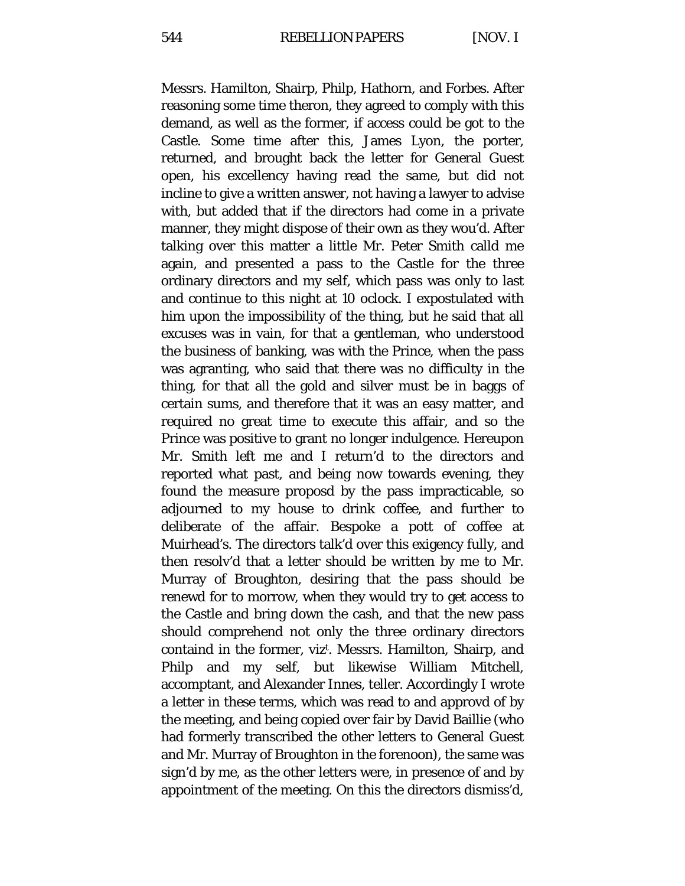Messrs. Hamilton, Shairp, Philp, Hathorn, and Forbes. After reasoning some time theron, they agreed to comply with this demand, as well as the former, if access could be got to the Castle. Some time after this, James Lyon, the porter, returned, and brought back the letter for General Guest open, his excellency having read the same, but did not incline to give a written answer, not having a lawyer to advise with, but added that if the directors had come in a private manner, they might dispose of their own as they wou'd. After talking over this matter a little Mr. Peter Smith calld me again, and presented a pass to the Castle for the three ordinary directors and my self, which pass was only to last and continue to this night at 10 oclock. I expostulated with him upon the impossibility of the thing, but he said that all excuses was in vain, for that a gentleman, who understood the business of banking, was with the Prince, when the pass was agranting, who said that there was no difficulty in the thing, for that all the gold and silver must be in baggs of certain sums, and therefore that it was an easy matter, and required no great time to execute this affair, and so the Prince was positive to grant no longer indulgence. Hereupon Mr. Smith left me and I return'd to the directors and reported what past, and being now towards evening, they found the measure proposd by the pass impracticable, so adjourned to my house to drink coffee, and further to deliberate of the affair. Bespoke a pott of coffee at Muirhead's. The directors talk'd over this exigency fully, and then resolv'd that a letter should be written by me to Mr. Murray of Broughton, desiring that the pass should be renewd for to morrow, when they would try to get access to the Castle and bring down the cash, and that the new pass should comprehend not only the three ordinary directors containd in the former, viz<sup>t</sup>. Messrs. Hamilton, Shairp, and Philp and my self, but likewise William Mitchell, accomptant, and Alexander Innes, teller. Accordingly I wrote a letter in these terms, which was read to and approvd of by the meeting, and being copied over fair by David Baillie (who had formerly transcribed the other letters to General Guest and Mr. Murray of Broughton in the forenoon), the same was sign'd by me, as the other letters were, in presence of and by appointment of the meeting. On this the directors dismiss'd,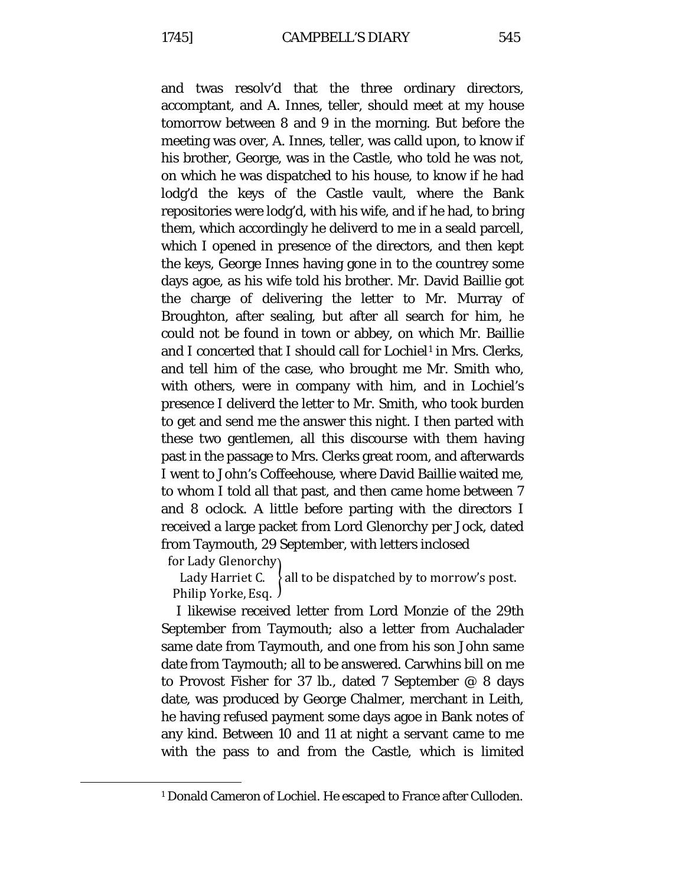and twas resolv'd that the three ordinary directors, accomptant, and A. Innes, teller, should meet at my house tomorrow between 8 and 9 in the morning. But before the meeting was over, A. Innes, teller, was calld upon, to know if his brother, George, was in the Castle, who told he was not, on which he was dispatched to his house, to know if he had lodg'd the keys of the Castle vault, where the Bank repositories were lodg'd, with his wife, and if he had, to bring them, which accordingly he deliverd to me in a seald parcell, which I opened in presence of the directors, and then kept the keys, George Innes having gone in to the countrey some days agoe, as his wife told his brother. Mr. David Baillie got the charge of delivering the letter to Mr. Murray of Broughton, after sealing, but after all search for him, he could not be found in town or abbey, on which Mr. Baillie and I concerted that I should call for Lochiel<sup>[1](#page-10-0)</sup> in Mrs. Clerks, and tell him of the case, who brought me Mr. Smith who, with others, were in company with him, and in Lochiel's presence I deliverd the letter to Mr. Smith, who took burden to get and send me the answer this night. I then parted with these two gentlemen, all this discourse with them having past in the passage to Mrs. Clerks great room, and afterwards I went to John's Coffeehouse, where David Baillie waited me, to whom I told all that past, and then came home between 7 and 8 oclock. A little before parting with the directors I received a large packet from Lord Glenorchy per Jock, dated from Taymouth, 29 September, with letters inclosed

for Lady Glenorchy

<span id="page-10-0"></span>Ĩ.

Lady Harriet C. Philip Yorke, Esq. � all to be dispatched by to morrow's post.

I likewise received letter from Lord Monzie of the 29th September from Taymouth; also a letter from Auchalader same date from Taymouth, and one from his son John same date from Taymouth; all to be answered. Carwhins bill on me to Provost Fisher for 37 lb., dated 7 September @ 8 days date, was produced by George Chalmer, merchant in Leith, he having refused payment some days agoe in Bank notes of any kind. Between 10 and 11 at night a servant came to me with the pass to and from the Castle, which is limited

<sup>1</sup> Donald Cameron of Lochiel. He escaped to France after Culloden.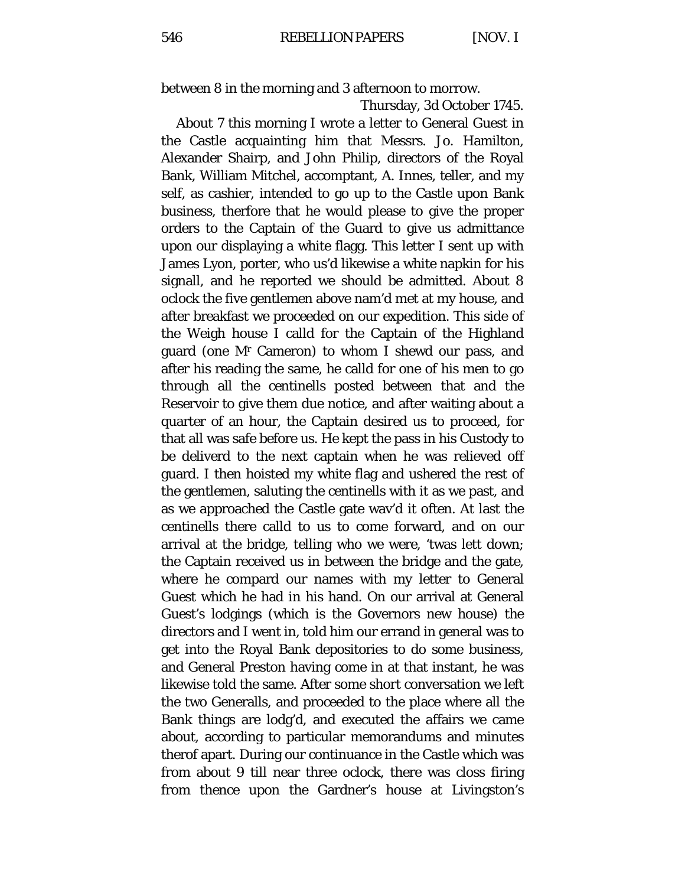between 8 in the morning and 3 afternoon to morrow.

Thursday, 3d October 1745.

About 7 this morning I wrote a letter to General Guest in the Castle acquainting him that Messrs. Jo. Hamilton, Alexander Shairp, and John Philip, directors of the Royal Bank, William Mitchel, accomptant, A. Innes, teller, and my self, as cashier, intended to go up to the Castle upon Bank business, therfore that he would please to give the proper orders to the Captain of the Guard to give us admittance upon our displaying a white flagg. This letter I sent up with James Lyon, porter, who us'd likewise a white napkin for his signall, and he reported we should be admitted. About 8 oclock the five gentlemen above nam'd met at my house, and after breakfast we proceeded on our expedition. This side of the Weigh house I calld for the Captain of the Highland guard (one Mr Cameron) to whom I shewd our pass, and after his reading the same, he calld for one of his men to go through all the centinells posted between that and the Reservoir to give them due notice, and after waiting about a quarter of an hour, the Captain desired us to proceed, for that all was safe before us. He kept the pass in his Custody to be deliverd to the next captain when he was relieved off guard. I then hoisted my white flag and ushered the rest of the gentlemen, saluting the centinells with it as we past, and as we approached the Castle gate wav'd it often. At last the centinells there calld to us to come forward, and on our arrival at the bridge, telling who we were, 'twas lett down; the Captain received us in between the bridge and the gate, where he compard our names with my letter to General Guest which he had in his hand. On our arrival at General Guest's lodgings (which is the Governors new house) the directors and I went in, told him our errand in general was to get into the Royal Bank depositories to do some business, and General Preston having come in at that instant, he was likewise told the same. After some short conversation we left the two Generalls, and proceeded to the place where all the Bank things are lodg'd, and executed the affairs we came about, according to particular memorandums and minutes therof apart. During our continuance in the Castle which was from about 9 till near three oclock, there was closs firing from thence upon the Gardner's house at Livingston's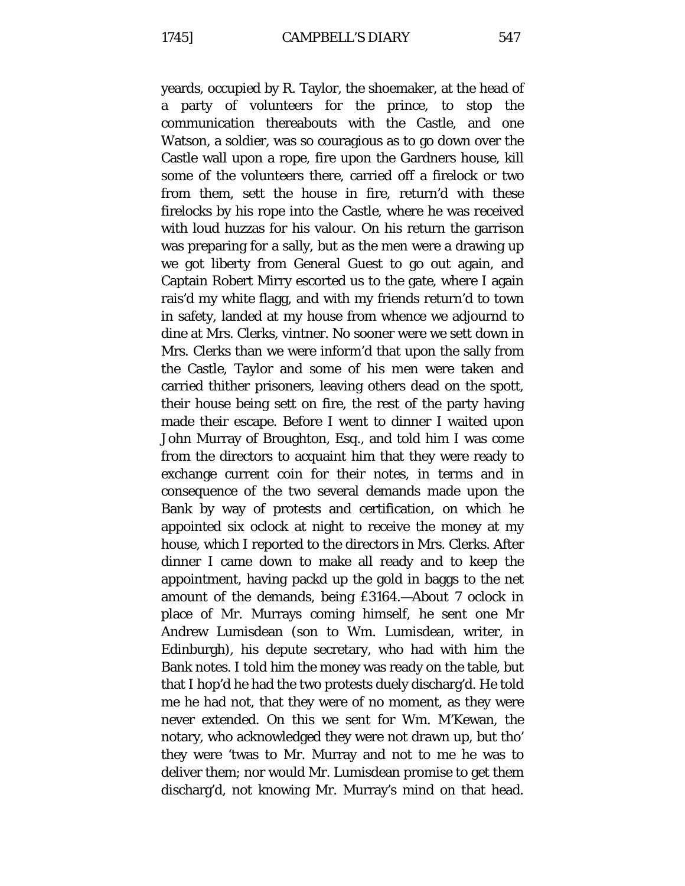yeards, occupied by R. Taylor, the shoemaker, at the head of a party of volunteers for the prince, to stop the communication thereabouts with the Castle, and one Watson, a soldier, was so couragious as to go down over the Castle wall upon a rope, fire upon the Gardners house, kill some of the volunteers there, carried off a firelock or two from them, sett the house in fire, return'd with these firelocks by his rope into the Castle, where he was received with loud huzzas for his valour. On his return the garrison was preparing for a sally, but as the men were a drawing up we got liberty from General Guest to go out again, and Captain Robert Mirry escorted us to the gate, where I again rais'd my white flagg, and with my friends return'd to town in safety, landed at my house from whence we adjournd to dine at Mrs. Clerks, vintner. No sooner were we sett down in Mrs. Clerks than we were inform'd that upon the sally from the Castle, Taylor and some of his men were taken and carried thither prisoners, leaving others dead on the spott, their house being sett on fire, the rest of the party having made their escape. Before I went to dinner I waited upon John Murray of Broughton, Esq., and told him I was come from the directors to acquaint him that they were ready to exchange current coin for their notes, in terms and in consequence of the two several demands made upon the Bank by way of protests and certification, on which he appointed six oclock at night to receive the money at my house, which I reported to the directors in Mrs. Clerks. After dinner I came down to make all ready and to keep the appointment, having packd up the gold in baggs to the net amount of the demands, being £3164.—About 7 oclock in place of Mr. Murrays coming himself, he sent one Mr Andrew Lumisdean (son to Wm. Lumisdean, writer, in Edinburgh), his depute secretary, who had with him the Bank notes. I told him the money was ready on the table, but that I hop'd he had the two protests duely discharg'd. He told me he had not, that they were of no moment, as they were never extended. On this we sent for Wm. M'Kewan, the notary, who acknowledged they were not drawn up, but tho' they were 'twas to Mr. Murray and not to me he was to deliver them; nor would Mr. Lumisdean promise to get them discharg'd, not knowing Mr. Murray's mind on that head.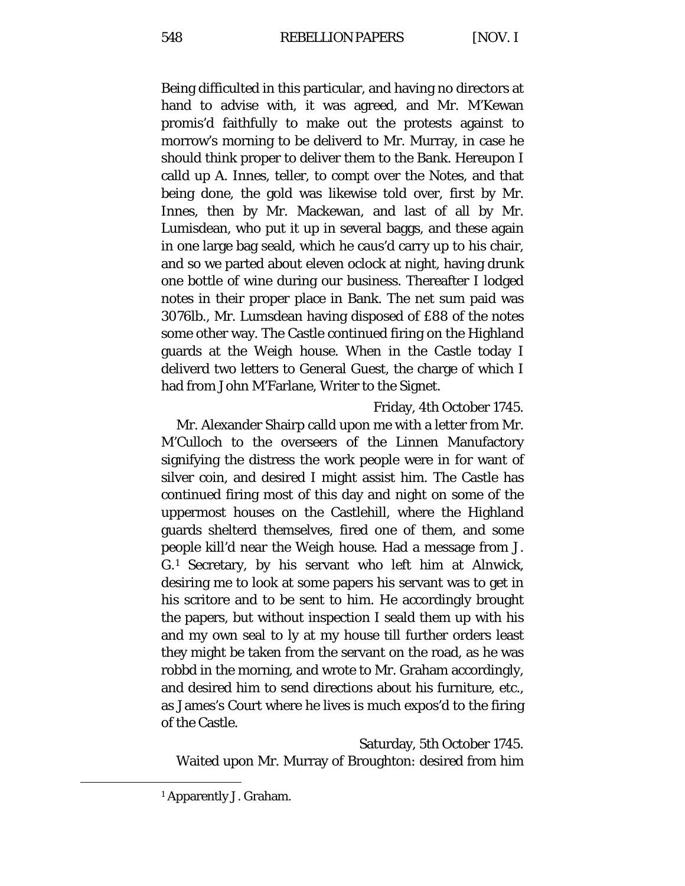Being difficulted in this particular, and having no directors at hand to advise with, it was agreed, and Mr. M'Kewan promis'd faithfully to make out the protests against to morrow's morning to be deliverd to Mr. Murray, in case he should think proper to deliver them to the Bank. Hereupon I calld up A. Innes, teller, to compt over the Notes, and that being done, the gold was likewise told over, first by Mr. Innes, then by Mr. Mackewan, and last of all by Mr. Lumisdean, who put it up in several baggs, and these again in one large bag seald, which he caus'd carry up to his chair, and so we parted about eleven oclock at night, having drunk one bottle of wine during our business. Thereafter I lodged notes in their proper place in Bank. The net sum paid was 3076lb., Mr. Lumsdean having disposed of £88 of the notes some other way. The Castle continued firing on the Highland guards at the Weigh house. When in the Castle today I deliverd two letters to General Guest, the charge of which I had from John M'Farlane, Writer to the Signet.

Friday, 4th October 1745.

Mr. Alexander Shairp calld upon me with a letter from Mr. M'Culloch to the overseers of the Linnen Manufactory signifying the distress the work people were in for want of silver coin, and desired I might assist him. The Castle has continued firing most of this day and night on some of the uppermost houses on the Castlehill, where the Highland guards shelterd themselves, fired one of them, and some people kill'd near the Weigh house. Had a message from J. G[.1](#page-13-0) Secretary, by his servant who left him at Alnwick, desiring me to look at some papers his servant was to get in his scritore and to be sent to him. He accordingly brought the papers, but without inspection I seald them up with his and my own seal to ly at my house till further orders least they might be taken from the servant on the road, as he was robbd in the morning, and wrote to Mr. Graham accordingly, and desired him to send directions about his furniture, etc., as James's Court where he lives is much expos'd to the firing of the Castle.

Saturday, 5th October 1745. Waited upon Mr. Murray of Broughton: desired from him

<span id="page-13-0"></span>Ĩ.

<sup>1</sup> Apparently J. Graham.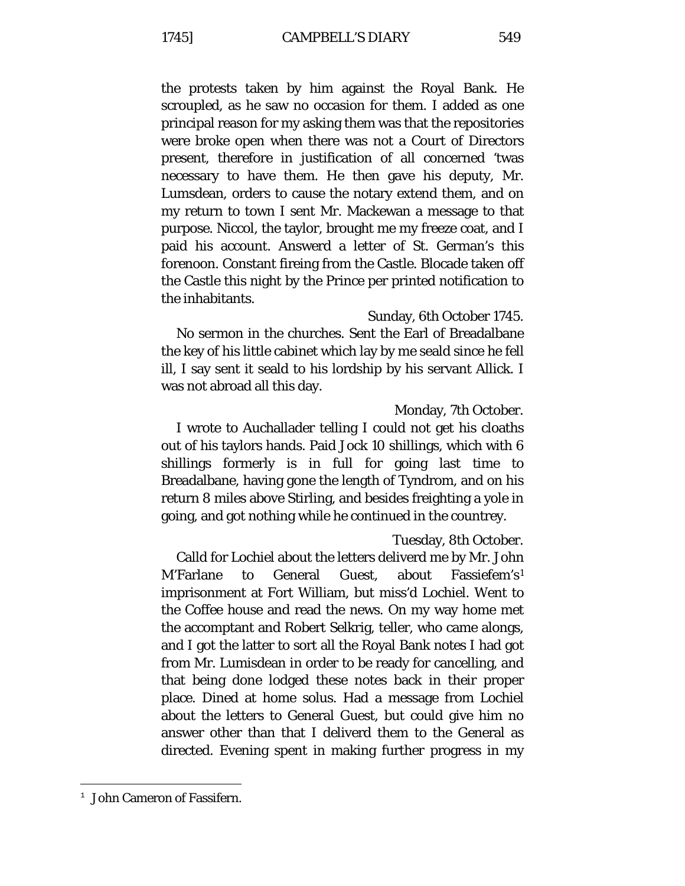the protests taken by him against the Royal Bank. He scroupled, as he saw no occasion for them. I added as one principal reason for my asking them was that the repositories were broke open when there was not a Court of Directors present, therefore in justification of all concerned 'twas necessary to have them. He then gave his deputy, Mr. Lumsdean, orders to cause the notary extend them, and on my return to town I sent Mr. Mackewan a message to that purpose. Niccol, the taylor, brought me my freeze coat, and I paid his account. Answerd a letter of St. German's this forenoon. Constant fireing from the Castle. Blocade taken off the Castle this night by the Prince per printed notification to the inhabitants.

#### Sunday, 6th October 1745.

No sermon in the churches. Sent the Earl of Breadalbane the key of his little cabinet which lay by me seald since he fell ill, I say sent it seald to his lordship by his servant Allick. I was not abroad all this day.

Monday, 7th October. I wrote to Auchallader telling I could not get his cloaths out of his taylors hands. Paid Jock 10 shillings, which with 6 shillings formerly is in full for going last time to Breadalbane, having gone the length of Tyndrom, and on his return 8 miles above Stirling, and besides freighting a yole in going, and got nothing while he continued in the countrey.

Tuesday, 8th October.

Calld for Lochiel about the letters deliverd me by Mr. John M'Farlane to General Guest, about Fassiefem's[1](#page-14-0) imprisonment at Fort William, but miss'd Lochiel. Went to the Coffee house and read the news. On my way home met the accomptant and Robert Selkrig, teller, who came alongs, and I got the latter to sort all the Royal Bank notes I had got from Mr. Lumisdean in order to be ready for cancelling, and that being done lodged these notes back in their proper place. Dined at home *solus.* Had a message from Lochiel about the letters to General Guest, but could give him no answer other than that I deliverd them to the General as directed. Evening spent in making further progress in my

<span id="page-14-0"></span>Ĩ. <sup>1</sup> John Cameron of Fassifern.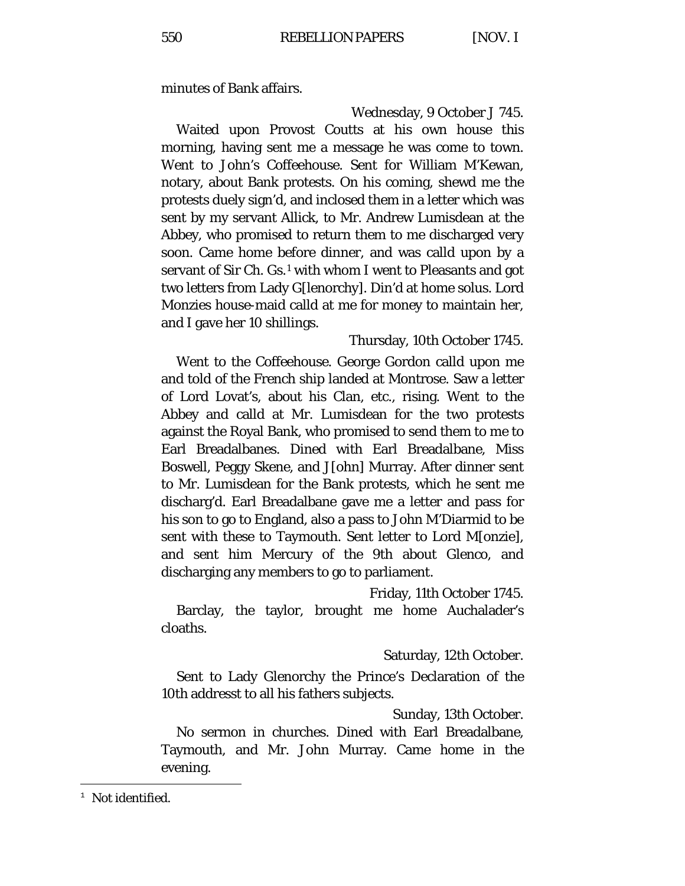minutes of Bank affairs.

Wednesday, 9 October J 745. Waited upon Provost Coutts at his own house this morning, having sent me a message he was come to town. Went to John's Coffeehouse. Sent for William M'Kewan, notary, about Bank protests. On his coming, shewd me the protests duely sign'd, and inclosed them in a letter which was sent by my servant Allick, to Mr. Andrew Lumisdean at the Abbey, who promised to return them to me discharged very soon. Came home before dinner, and was calld upon by a servant of Sir Ch. Gs.<sup>[1](#page-15-0)</sup> with whom I went to Pleasants and got two letters from Lady G[lenorchy]. Din'd at home *solus.* Lord Monzies house-maid calld at me for money to maintain her, and I gave her 10 shillings.

#### Thursday, 10th October 1745.

Went to the Coffeehouse. George Gordon calld upon me and told of the French ship landed at Montrose. Saw a letter of Lord Lovat's, about his Clan, etc., rising. Went to the Abbey and calld at Mr. Lumisdean for the two protests against the Royal Bank, who promised to send them to me to Earl Breadalbanes. Dined with Earl Breadalbane, Miss Boswell, Peggy Skene, and J[ohn] Murray. After dinner sent to Mr. Lumisdean for the Bank protests, which he sent me discharg'd. Earl Breadalbane gave me a letter and pass for his son to go to England, also a pass to John M'Diarmid to be sent with these to Taymouth. Sent letter to Lord M[onzie], and sent him Mercury of the 9th about Glenco, and discharging any members to go to parliament.

Friday, 11th October 1745.

Barclay, the taylor, brought me home Auchalader's cloaths.

Saturday, 12th October.

Sent to Lady Glenorchy the Prince's Declaration of the 10th addresst to all his fathers subjects.

Sunday, 13th October.

No sermon in churches. Dined with Earl Breadalbane, Taymouth, and Mr. John Murray. Came home in the evening.

<span id="page-15-0"></span>Ĩ.  $1$  Not identified.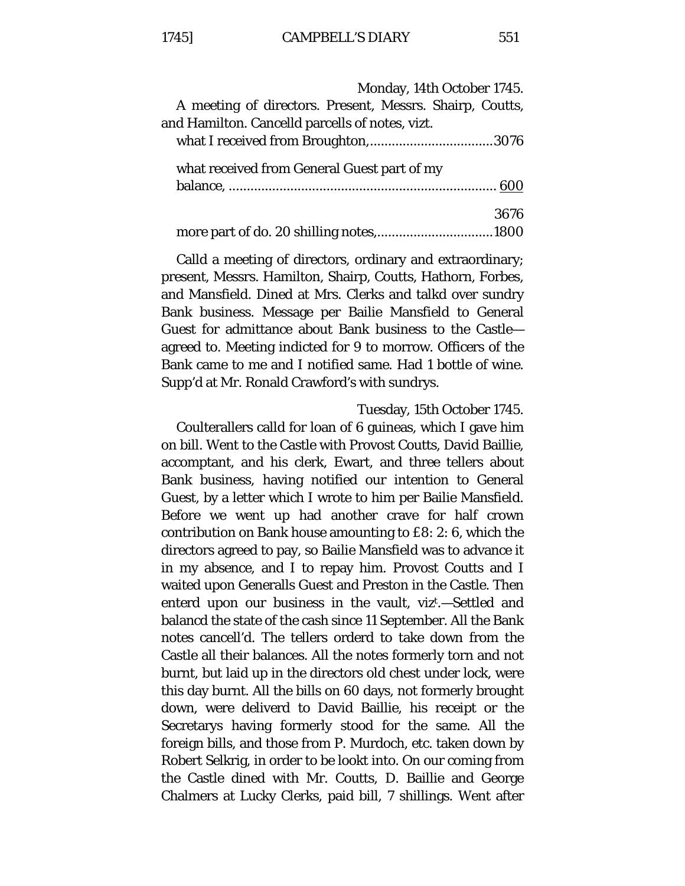| Monday, 14th October 1745.                               |      |
|----------------------------------------------------------|------|
| A meeting of directors. Present, Messrs. Shairp, Coutts, |      |
| and Hamilton. Cancelld parcells of notes, vizt.          |      |
|                                                          |      |
| what received from General Guest part of my              |      |
|                                                          |      |
|                                                          | 3676 |
|                                                          |      |

Calld a meeting of directors, ordinary and extraordinary; present, Messrs. Hamilton, Shairp, Coutts, Hathorn, Forbes, and Mansfield. Dined at Mrs. Clerks and talkd over sundry Bank business. Message per Bailie Mansfield to General Guest for admittance about Bank business to the Castle agreed to. Meeting indicted for 9 to morrow. Officers of the Bank came to me and I notified same. Had 1 bottle of wine. Supp'd at Mr. Ronald Crawford's with sundrys.

Tuesday, 15th October 1745.

Coulterallers calld for loan of 6 guineas, which I gave him on bill. Went to the Castle with Provost Coutts, David Baillie, accomptant, and his clerk, Ewart, and three tellers about Bank business, having notified our intention to General Guest, by a letter which I wrote to him per Bailie Mansfield. Before we went up had another crave for half crown contribution on Bank house amounting to £8: 2: 6, which the directors agreed to pay, so Bailie Mansfield was to advance it in my absence, and I to repay him. Provost Coutts and I waited upon Generalls Guest and Preston in the Castle. Then enterd upon our business in the vault, vizt .—Settled and balancd the state of the cash since 11 September. All the Bank notes cancell'd. The tellers orderd to take down from the Castle all their balances. All the notes formerly torn and not burnt, but laid up in the directors old chest under lock, were this day burnt. All the bills on 60 days, not formerly brought down, were deliverd to David Baillie, his receipt or the Secretarys having formerly stood for the same. All the foreign bills, and those from P. Murdoch, etc. taken down by Robert Selkrig, in order to be lookt into. On our coming from the Castle dined with Mr. Coutts, D. Baillie and George Chalmers at Lucky Clerks, paid bill, 7 shillings. Went after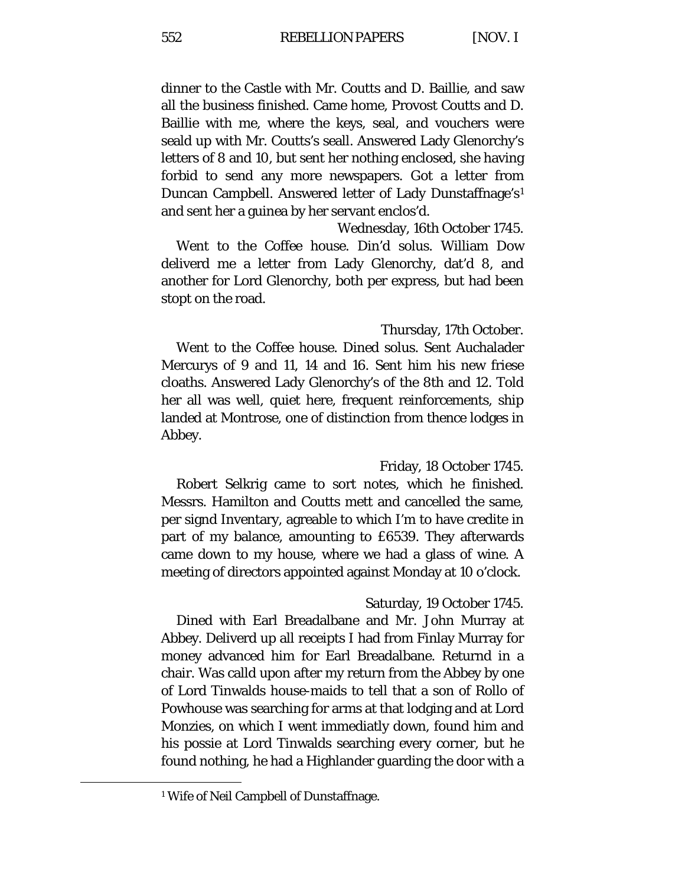dinner to the Castle with Mr. Coutts and D. Baillie, and saw all the business finished. Came home, Provost Coutts and D. Baillie with me, where the keys, seal, and vouchers were seald up with Mr. Coutts's seall. Answered Lady Glenorchy's letters of 8 and 10, but sent her nothing enclosed, she having forbid to send any more newspapers. Got a letter from Duncan Campbell. Answered letter of Lady Dunstaffnage's[1](#page-17-0) and sent her a guinea by her servant enclos'd.

Wednesday, 16th October 1745. Went to the Coffee house. Din'd *solus.* William Dow deliverd me a letter from Lady Glenorchy, dat'd 8, and another for Lord Glenorchy, both per express, but had been stopt on the road.

Thursday, 17th October.

Went to the Coffee house. Dined *solus.* Sent Auchalader Mercurys of 9 and 11, 14 and 16. Sent him his new friese cloaths. Answered Lady Glenorchy's of the 8th and 12. Told her all was well, quiet here, frequent reinforcements, ship landed at Montrose, one of distinction from thence lodges in Abbey.

Friday, 18 October 1745.

Robert Selkrig came to sort notes, which he finished. Messrs. Hamilton and Coutts mett and cancelled the same, per signd Inventary, agreable to which I'm to have credite in part of my balance, amounting to £6539*.* They afterwards came down to my house, where we had a glass of wine. A meeting of directors appointed against Monday at 10 o'clock.

Saturday, 19 October 1745.

Dined with Earl Breadalbane and Mr. John Murray at Abbey. Deliverd up all receipts I had from Finlay Murray for money advanced him for Earl Breadalbane. Returnd in a chair. Was calld upon after my return from the Abbey by one of Lord Tinwalds house-maids to tell that a son of Rollo of Powhouse was searching for arms at that lodging and at Lord Monzies, on which I went immediatly down, found him and his possie at Lord Tinwalds searching every corner, but he found nothing, he had a Highlander guarding the door with a

<span id="page-17-0"></span>Ĩ.

<sup>1</sup> Wife of Neil Campbell of Dunstaffnage.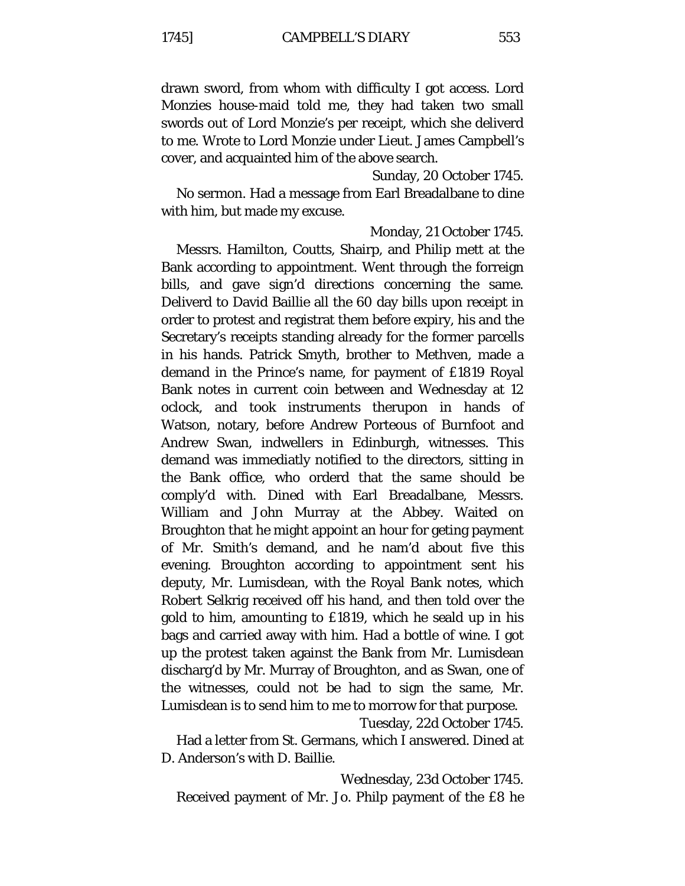drawn sword, from whom with difficulty I got access. Lord Monzies house-maid told me, they had taken two small swords out of Lord Monzie's per receipt, which she deliverd to me. Wrote to Lord Monzie under Lieut. James Campbell's cover, and acquainted him of the above search.

Sunday, 20 October 1745.

No sermon. Had a message from Earl Breadalbane to dine with him, but made my excuse.

Monday, 21 October 1745.

Messrs. Hamilton, Coutts, Shairp, and Philip mett at the Bank according to appointment. Went through the forreign bills, and gave sign'd directions concerning the same. Deliverd to David Baillie all the 60 day bills upon receipt in order to protest and registrat them before expiry, his and the Secretary's receipts standing already for the former parcells in his hands. Patrick Smyth, brother to Methven, made a demand in the Prince's name, for payment of £1819 Royal Bank notes in current coin between and Wednesday at 12 oclock, and took instruments therupon in hands of Watson, notary, before Andrew Porteous of Burnfoot and Andrew Swan, indwellers in Edinburgh, witnesses. This demand was immediatly notified to the directors, sitting in the Bank office, who orderd that the same should be comply'd with. Dined with Earl Breadalbane, Messrs. William and John Murray at the Abbey. Waited on Broughton that he might appoint an hour for geting payment of Mr. Smith's demand, and he nam'd about five this evening. Broughton according to appointment sent his deputy, Mr. Lumisdean, with the Royal Bank notes, which Robert Selkrig received off his hand, and then told over the gold to him, amounting to £1819, which he seald up in his bags and carried away with him. Had a bottle of wine. I got up the protest taken against the Bank from Mr. Lumisdean discharg'd by Mr. Murray of Broughton, and as Swan, one of the witnesses, could not be had to sign the same, Mr. Lumisdean is to send him to me to morrow for that purpose.

Tuesday, 22d October 1745.

Had a letter from St. Germans, which I answered. Dined at D. Anderson's with D. Baillie.

Wednesday, 23d October 1745.

Received payment of Mr. Jo. Philp payment of the £8 he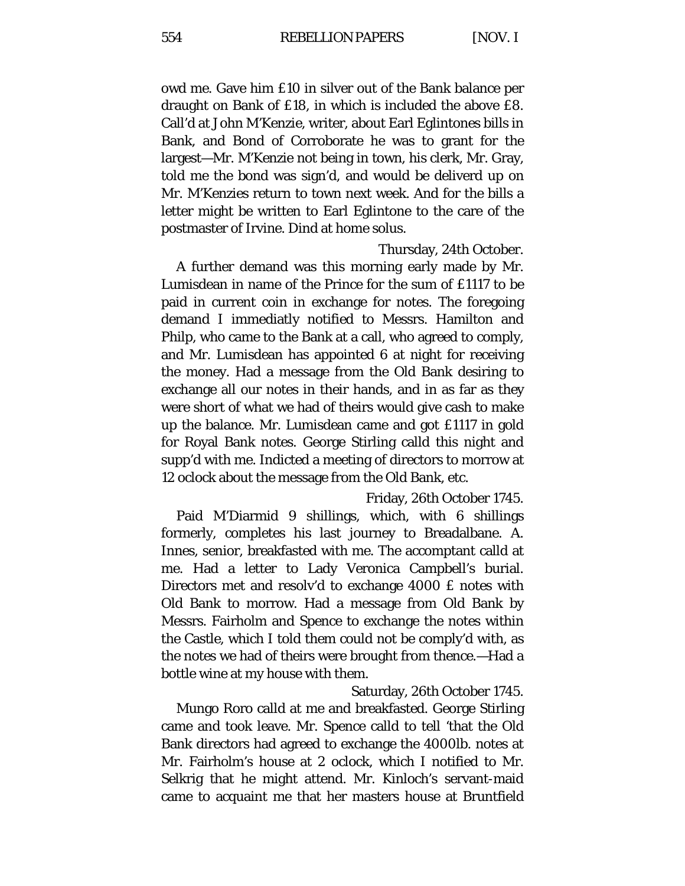owd me. Gave him £10 in silver out of the Bank balance per draught on Bank of £18, in which is included the above £8. Call'd at John M'Kenzie, writer, about Earl Eglintones bills in Bank, and Bond of Corroborate he was to grant for the largest—Mr. M'Kenzie not being in town, his clerk, Mr. Gray, told me the bond was sign'd, and would be deliverd up on Mr. M'Kenzies return to town next week. And for the bills a letter might be written to Earl Eglintone to the care of the postmaster of Irvine. Dind at home *solus.*

Thursday, 24th October.

A further demand was this morning early made by Mr. Lumisdean in name of the Prince for the sum of £1117 to be paid in current coin in exchange for notes. The foregoing demand I immediatly notified to Messrs. Hamilton and Philp, who came to the Bank at a call, who agreed to comply, and Mr. Lumisdean has appointed 6 at night for receiving the money. Had a message from the Old Bank desiring to exchange all our notes in their hands, and in as far as they were short of what we had of theirs would give cash to make up the balance. Mr. Lumisdean came and got £1117 in gold for Royal Bank notes. George Stirling calld this night and supp'd with me. Indicted a meeting of directors to morrow at 12 oclock about the message from the Old Bank, etc.

Friday, 26th October 1745.

Paid M'Diarmid 9 shillings, which, with 6 shillings formerly, completes his last journey to Breadalbane. A. Innes, senior, breakfasted with me. The accomptant calld at me. Had a letter to Lady Veronica Campbell's burial. Directors met and resolv'd to exchange 4000 *£* notes with Old Bank to morrow. Had a message from Old Bank by Messrs. Fairholm and Spence to exchange the notes within the Castle, which I told them could not be comply'd with, as the notes we had of theirs were brought from thence.—Had a bottle wine at my house with them.

Saturday, 26th October 1745.

Mungo Roro calld at me and breakfasted. George Stirling came and took leave. Mr. Spence calld to tell 'that the Old Bank directors had agreed to exchange the 4000lb. notes at Mr. Fairholm's house at 2 oclock, which I notified to Mr. Selkrig that he might attend. Mr. Kinloch's servant-maid came to acquaint me that her masters house at Bruntfield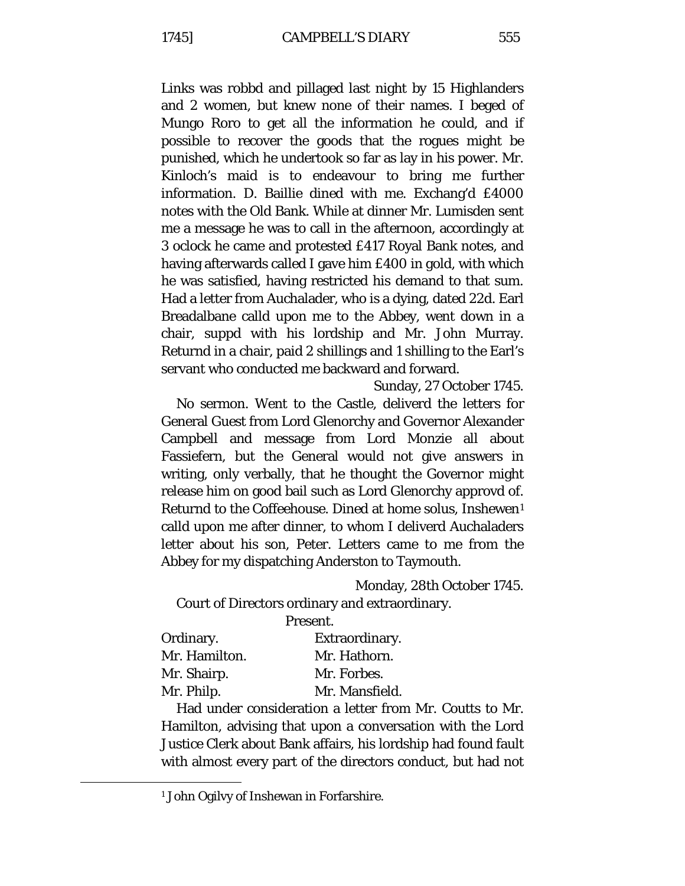Links was robbd and pillaged last night by 15 Highlanders and 2 women, but knew none of their names. I beged of Mungo Roro to get all the information he could, and if possible to recover the goods that the rogues might be punished, which he undertook so far as lay in his power. Mr. Kinloch's maid is to endeavour to bring me further information. D. Baillie dined with me. Exchang'd £4000 notes with the Old Bank. While at dinner Mr. Lumisden sent me a message he was to call in the afternoon, accordingly at 3 oclock he came and protested £417 Royal Bank notes, and having afterwards called I gave him £400 in gold, with which he was satisfied, having restricted his demand to that sum. Had a letter from Auchalader, who is a dying, dated 22d. Earl Breadalbane calld upon me to the Abbey, went down in a chair, suppd with his lordship and Mr. John Murray. Returnd in a chair, paid 2 shillings and 1 shilling to the Earl's servant who conducted me backward and forward.

Sunday, 27 October 1745.

No sermon. Went to the Castle, deliverd the letters for General Guest from Lord Glenorchy and Governor Alexander Campbell and message from Lord Monzie all about Fassiefern, but the General would not give answers in writing, only verbally, that he thought the Governor might release him on good bail such as Lord Glenorchy approvd of. Returnd to the Coffeehouse. Dined at home *solus,* Inshewen[1](#page-20-0) calld upon me after dinner, to whom I deliverd Auchaladers letter about his son, Peter. Letters came to me from the Abbey for my dispatching Anderston to Taymouth.

Monday, 28th October 1745.

Court of Directors ordinary and extraordinary. Present.

|               | і гелені.      |
|---------------|----------------|
| Ordinary.     | Extraordinary. |
| Mr. Hamilton. | Mr. Hathorn.   |
| Mr. Shairp.   | Mr. Forbes.    |
| Mr. Philp.    | Mr. Mansfield. |

Had under consideration a letter from Mr. Coutts to Mr. Hamilton, advising that upon a conversation with the Lord Justice Clerk about Bank affairs, his lordship had found fault with almost every part of the directors conduct, but had not

<span id="page-20-0"></span>Ĩ.

<sup>&</sup>lt;sup>1</sup> John Ogilvy of Inshewan in Forfarshire.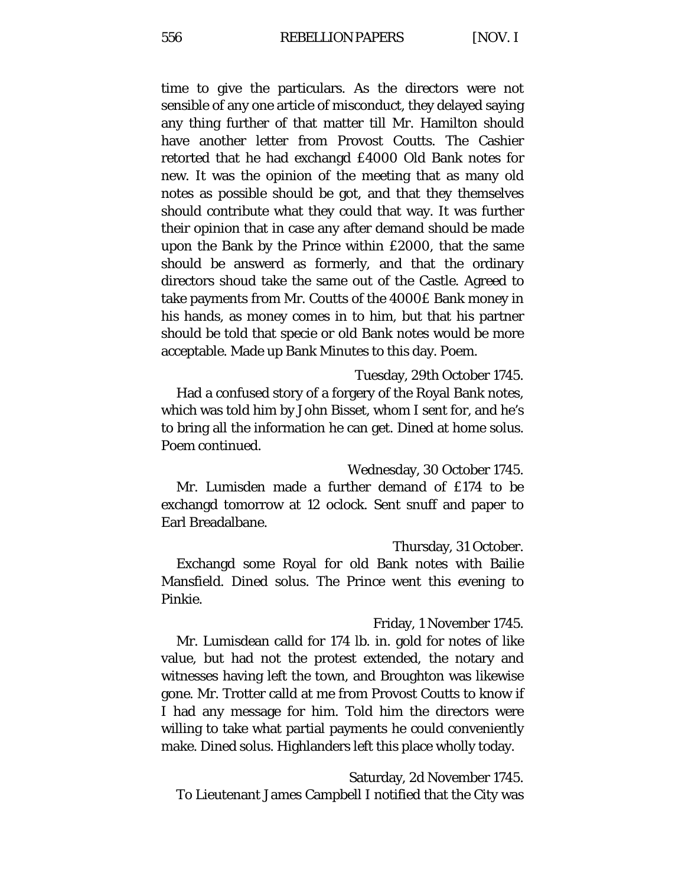#### 556 REBELLION PAPERS [NOV. I

time to give the particulars. As the directors were not sensible of any one article of misconduct, they delayed saying any thing further of that matter till Mr. Hamilton should have another letter from Provost Coutts. The Cashier retorted that he had exchangd £4000 Old Bank notes for new. It was the opinion of the meeting that as many old notes as possible should be got, and that they themselves should contribute what they could that way. It was further their opinion that in case any after demand should be made upon the Bank by the Prince within £2000, that the same should be answerd as formerly, and that the ordinary directors shoud take the same out of the Castle. Agreed to take payments from Mr. Coutts of the 4000£ Bank money in his hands, as money comes in to him, but that his partner should be told that specie or old Bank notes would be more acceptable. Made up Bank Minutes to this day. Poem.

Tuesday, 29th October 1745.

Had a confused story of a forgery of the Royal Bank notes, which was told him by John Bisset, whom I sent for, and he's to bring all the information he can get. Dined at home *solus.*  Poem continued.

Wednesday, 30 October 1745.

Mr. Lumisden made a further demand of £174 to be exchangd tomorrow at 12 oclock. Sent snuff and paper to Earl Breadalbane.

Thursday, 31 October. Exchangd some Royal for old Bank notes with Bailie Mansfield. Dined *solus*. The Prince went this evening to Pinkie.

Friday, 1 November 1745.

Mr. Lumisdean calld for 174 lb. in. gold for notes of like value, but had not the protest extended, the notary and witnesses having left the town, and Broughton was likewise gone. Mr. Trotter calld at me from Provost Coutts to know if I had any message for him. Told him the directors were willing to take what partial payments he could conveniently make. Dined *solus.* Highlanders left this place wholly today.

Saturday, 2d November 1745. To Lieutenant James Campbell I notified that the City was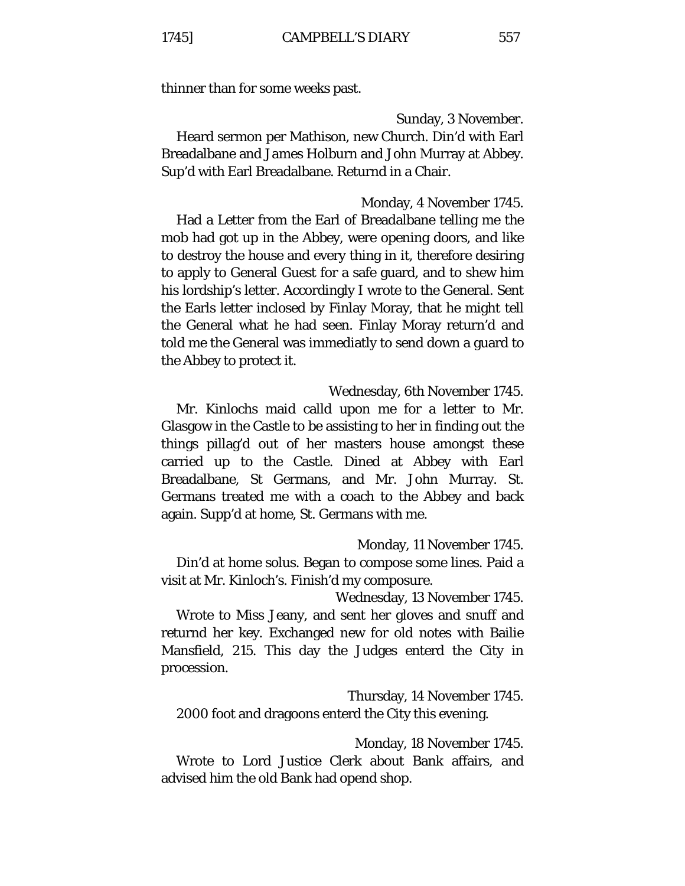thinner than for some weeks past.

Sunday, 3 November.

Heard sermon per Mathison, new Church. Din'd with Earl Breadalbane and James Holburn and John Murray at Abbey. Sup'd with Earl Breadalbane. Returnd in a Chair.

#### Monday, 4 November 1745.

Had a Letter from the Earl of Breadalbane telling me the mob had got up in the Abbey, were opening doors, and like to destroy the house and every thing in it, therefore desiring to apply to General Guest for a safe guard, and to shew him his lordship's letter. Accordingly I wrote to the General. Sent the Earls letter inclosed by Finlay Moray, that he might tell the General what he had seen. Finlay Moray return'd and told me the General was immediatly to send down a guard to the Abbey to protect it.

Wednesday, 6th November 1745.

Mr. Kinlochs maid calld upon me for a letter to Mr. Glasgow in the Castle to be assisting to her in finding out the things pillag'd out of her masters house amongst these carried up to the Castle. Dined at Abbey with Earl Breadalbane, St Germans, and Mr. John Murray. St. Germans treated me with a coach to the Abbey and back again. Supp'd at home, St. Germans with me.

Monday, 11 November 1745.

Din'd at home *solus.* Began to compose some lines. Paid a visit at Mr. Kinloch's. Finish'd my composure.

Wednesday, 13 November 1745.

Wrote to Miss Jeany, and sent her gloves and snuff and returnd her key. Exchanged new for old notes with Bailie Mansfield, 215. This day the Judges enterd the City in procession.

Thursday, 14 November 1745. 2000 foot and dragoons enterd the City this evening.

Monday, 18 November 1745.

Wrote to Lord Justice Clerk about Bank affairs, and advised him the old Bank had opend shop.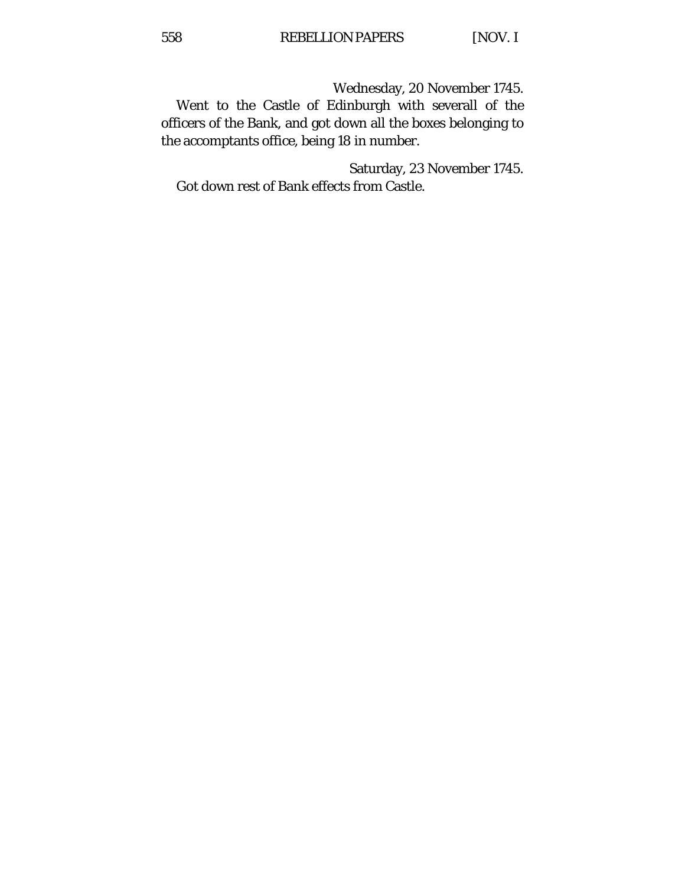Wednesday, 20 November 1745. Went to the Castle of Edinburgh with severall of the officers of the Bank, and got down all the boxes belonging to the accomptants office, being 18 in number.

Saturday, 23 November 1745. Got down rest of Bank effects from Castle.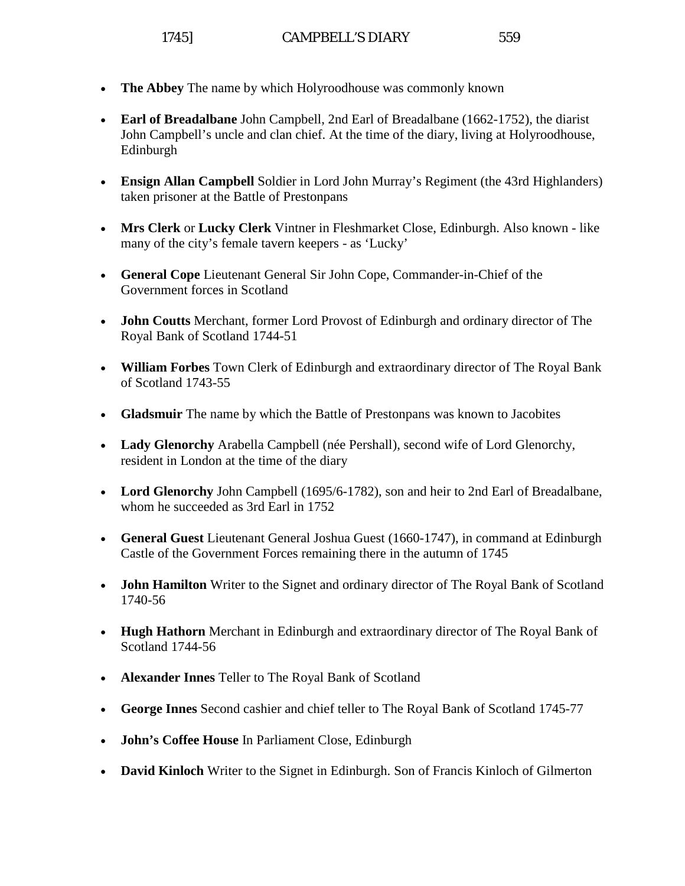#### 1745] CAMPBELL'S DIARY 559

- **The Abbey** The name by which Holyroodhouse was commonly known
- **Earl of Breadalbane** John Campbell, 2nd Earl of Breadalbane (1662-1752), the diarist John Campbell's uncle and clan chief. At the time of the diary, living at Holyroodhouse, Edinburgh
- **Ensign Allan Campbell** Soldier in Lord John Murray's Regiment (the 43rd Highlanders) taken prisoner at the Battle of Prestonpans
- **Mrs Clerk** or **Lucky Clerk** Vintner in Fleshmarket Close, Edinburgh. Also known like many of the city's female tavern keepers - as 'Lucky'
- **General Cope** Lieutenant General Sir John Cope, Commander-in-Chief of the Government forces in Scotland
- **John Coutts** Merchant, former Lord Provost of Edinburgh and ordinary director of The Royal Bank of Scotland 1744-51
- **William Forbes** Town Clerk of Edinburgh and extraordinary director of The Royal Bank of Scotland 1743-55
- **Gladsmuir** The name by which the Battle of Prestonpans was known to Jacobites
- **Lady Glenorchy** Arabella Campbell (née Pershall), second wife of Lord Glenorchy, resident in London at the time of the diary
- **Lord Glenorchy** John Campbell (1695/6-1782), son and heir to 2nd Earl of Breadalbane, whom he succeeded as 3rd Earl in 1752
- **General Guest** Lieutenant General Joshua Guest (1660-1747), in command at Edinburgh Castle of the Government Forces remaining there in the autumn of 1745
- **John Hamilton** Writer to the Signet and ordinary director of The Royal Bank of Scotland 1740-56
- **Hugh Hathorn** Merchant in Edinburgh and extraordinary director of The Royal Bank of Scotland 1744-56
- **Alexander Innes** Teller to The Royal Bank of Scotland
- **George Innes** Second cashier and chief teller to The Royal Bank of Scotland 1745-77
- **John's Coffee House** In Parliament Close, Edinburgh
- **David Kinloch** Writer to the Signet in Edinburgh. Son of Francis Kinloch of Gilmerton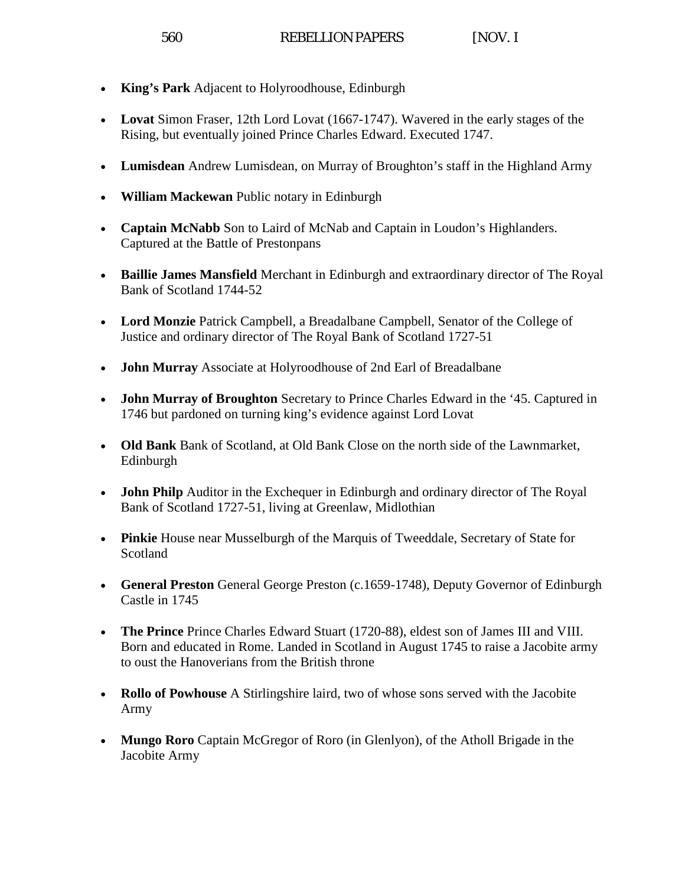#### 560 REBELLION PAPERS [NOV. I

- **King's Park** Adjacent to Holyroodhouse, Edinburgh
- **Lovat** Simon Fraser, 12th Lord Lovat (1667-1747). Wavered in the early stages of the Rising, but eventually joined Prince Charles Edward. Executed 1747.
- **Lumisdean** Andrew Lumisdean, on Murray of Broughton's staff in the Highland Army
- **William Mackewan** Public notary in Edinburgh
- **Captain McNabb** Son to Laird of McNab and Captain in Loudon's Highlanders. Captured at the Battle of Prestonpans
- **Baillie James Mansfield** Merchant in Edinburgh and extraordinary director of The Royal Bank of Scotland 1744-52
- **Lord Monzie** Patrick Campbell, a Breadalbane Campbell, Senator of the College of Justice and ordinary director of The Royal Bank of Scotland 1727-51
- **John Murray** Associate at Holyroodhouse of 2nd Earl of Breadalbane
- **John Murray of Broughton** Secretary to Prince Charles Edward in the '45. Captured in 1746 but pardoned on turning king's evidence against Lord Lovat
- **Old Bank** Bank of Scotland, at Old Bank Close on the north side of the Lawnmarket, Edinburgh
- **John Philp** Auditor in the Exchequer in Edinburgh and ordinary director of The Royal Bank of Scotland 1727-51, living at Greenlaw, Midlothian
- **Pinkie** House near Musselburgh of the Marquis of Tweeddale, Secretary of State for Scotland
- **General Preston** General George Preston (c.1659-1748), Deputy Governor of Edinburgh Castle in 1745
- **The Prince** Prince Charles Edward Stuart (1720-88), eldest son of James III and VIII. Born and educated in Rome. Landed in Scotland in August 1745 to raise a Jacobite army to oust the Hanoverians from the British throne
- **Rollo of Powhouse** A Stirlingshire laird, two of whose sons served with the Jacobite Army
- **Mungo Roro** Captain McGregor of Roro (in Glenlyon), of the Atholl Brigade in the Jacobite Army